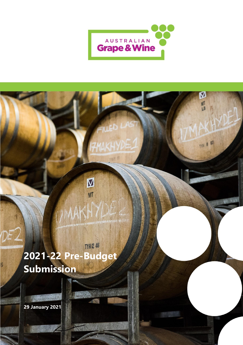

 $\overline{\mathbf{M}}$ 

E

MIA

# **TYH 12 46 2021-22 Pre-Budget Submission**

M

NT

**29 January 2021**

A NAME

 $\boldsymbol{0}$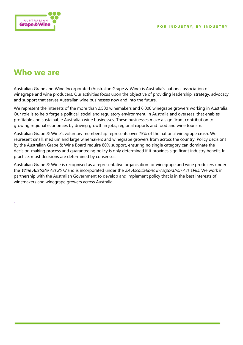

# <span id="page-1-0"></span>**Who we are**

.

Australian Grape and Wine Incorporated (Australian Grape & Wine) is Australia's national association of winegrape and wine producers. Our activities focus upon the objective of providing leadership, strategy, advocacy and support that serves Australian wine businesses now and into the future.

We represent the interests of the more than 2,500 winemakers and 6,000 winegrape growers working in Australia. Our role is to help forge a political, social and regulatory environment, in Australia and overseas, that enables profitable and sustainable Australian wine businesses. These businesses make a significant contribution to growing regional economies by driving growth in jobs, regional exports and food and wine tourism.

Australian Grape & Wine's voluntary membership represents over 75% of the national winegrape crush. We represent small, medium and large winemakers and winegrape growers from across the country. Policy decisions by the Australian Grape & Wine Board require 80% support, ensuring no single category can dominate the decision-making process and guaranteeing policy is only determined if it provides significant industry benefit. In practice, most decisions are determined by consensus.

Australian Grape & Wine is recognised as a representative organisation for winegrape and wine producers under the Wine Australia Act 2013 and is incorporated under the SA Associations Incorporation Act 1985. We work in partnership with the Australian Government to develop and implement policy that is in the best interests of winemakers and winegrape growers across Australia.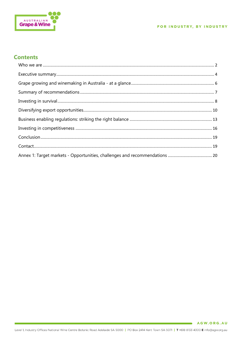

# **Contents**

 $\blacksquare$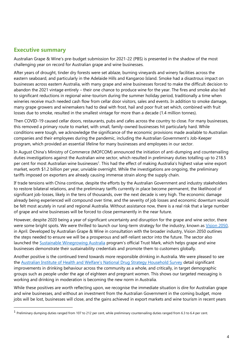### <span id="page-3-0"></span>**Executive summary**

Australian Grape & Wine's pre-budget submission for 2021-22 (PBS) is presented in the shadow of the most challenging year on record for Australian grape and wine businesses.

After years of drought, tinder dry forests were set ablaze, burning vineyards and winery facilities across the eastern seaboard, and particularly in the Adelaide Hills and Kangaroo Island. Smoke had a disastrous impact on businesses across eastern Australia, with many grape and wine businesses forced to make the difficult decision to abandon the 2021 vintage entirely – their one chance to produce wine for the year. The fires and smoke also led to significant reductions in regional wine-tourism during the summer holiday period, traditionally a time when wineries receive much needed cash flow from cellar door visitors, sales and events. In addition to smoke damage, many grape growers and winemakers had to deal with frost, hail and poor fruit set which, combined with fruit losses due to smoke, resulted in the smallest vintage for more than a decade (1.4 million tonnes).

Then COVID-19 caused cellar doors, restaurants, pubs and cafes across the country to close. For many businesses, this removed a primary route to market, with small, family-owned businesses hit particularly hard. While conditions were tough, we acknowledge the significance of the economic provisions made available to Australian companies and their employees during the pandemic, including the Australian Government's Job-Keeper program, which provided an essential lifeline for many businesses and employees in our sector.

In August China's Ministry of Commerce (MOFCOM) announced the initiation of anti-dumping and countervailing duties investigations against the Australian wine sector, which resulted in preliminary duties totalling up to 218.5 per cent for most Australian wine businesses<sup>1</sup>. This had the effect of making Australia's highest value wine export market, worth \$1.2 billion per year, unviable overnight. While the investigations are ongoing, the preliminary tariffs imposed on exporters are already causing immense strain along the supply chain.

If trade tensions with China continue, despite the efforts by the Australian Government and industry stakeholders to restore bilateral relations, and the preliminary tariffs currently in place become permanent, the likelihood of significant job-losses, likely in the tens of thousands, over the next decade is very high. The economic damage already being experienced will compound over time, and the severity of job losses and economic downturn would be felt most acutely in rural and regional Australia. Without assistance now, there is a real risk that a large number of grape and wine businesses will be forced to close permanently in the near future.

However, despite 2020 being a year of significant uncertainty and disruption for the grape and wine sector, there were some bright spots. We were thrilled to launch our long-term strategy for the industry, known as Vision 2050, in April. Developed by Australian Grape & Wine in consultation with the broader industry, Vision 2050 outlines the steps needed to ensure we will be a prosperous and self-reliant sector into the future. The sector also launched the [Sustainable Winegrowing Australia](https://member.sustainablewinegrowing.com.au/) program's official Trust Mark, which helps grape and wine businesses demonstrate their sustainability credentials and promote them to customers globally.

Another positive is the continued trend towards more responsible drinking in Australia. We were pleased to see the Australian Institu[te of Health and Welfare's National Drug Strategy Household Survey](https://www.aihw.gov.au/reports/illicit-use-of-drugs/national-drug-strategy-household-survey-2019/contents/summary) detail significant improvements in drinking behaviour across the community as a whole, and critically, in target demographic groups such as people under the age of eighteen and pregnant women. This shows our targeted messaging is working and drinking in moderation is becoming the new norm in Australia.

While these positives are worth reflecting upon, we recognise the immediate situation is dire for Australian grape and wine businesses, and without an investment from the Australian Government in the coming budget, more jobs will be lost, businesses will close, and the gains achieved in export markets and wine tourism in recent years

 $<sup>1</sup>$  Preliminary dumping duties ranged from 107 to 212 per cent, while preliminary countervailing duties ranged from 6.3 to 6.4 per cent.</sup>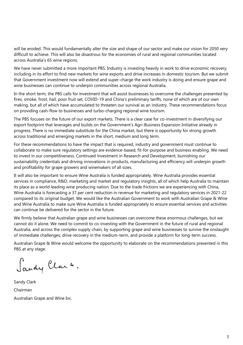will be eroded. This would fundamentally alter the size and shape of our sector and make our vision for 2050 very difficult to achieve. This will also be disastrous for the economies of rural and regional communities located across Australia's 65 wine regions.

We have never submitted a more important PBS. Industry is investing heavily in work to drive economic recovery, including in its effort to find new markets for wine exports and drive increases in domestic tourism. But we submit that Government investment now will extend and super-charge the work industry is doing and ensure grape and wine businesses can continue to underpin communities across regional Australia.

In the short term, the PBS calls for investment that will assist businesses to overcome the challenges presented by fires, smoke, frost, hail, poor fruit set, COVID-19 and China's preliminary tariffs, none of which are of our own making, but all of which have accumulated to threaten our survival as an industry. These recommendations focus on providing cash-flow to businesses and turbo-charging regional wine tourism.

The PBS focuses on the future of our export markets. There is a clear case for co-investment in diversifying our export footprint that leverages and builds on the Government's Agri-Business Expansion Initiative already in progress. There is no immediate substitute for the China market, but there is opportunity for strong growth across traditional and emerging markets in the short, medium and long term.

For these recommendations to have the impact that is required, industry and government must continue to collaborate to make sure regulatory settings are evidence-based, fit-for-purpose and business enabling. We need to invest in our competitiveness. Continued investment in Research and Development, burnishing our sustainability credentials and driving innovations in products, manufacturing and efficiency will underpin growth and profitability for grape growers and winemakers of all sizes.

It will also be important to ensure Wine Australia is funded appropriately. Wine Australia provides essential services in compliance, R&D, marketing and market and regulatory insights, all of which help Australia to maintain its place as a world leading wine producing nation. Due to the trade frictions we are experiencing with China, Wine Australia is forecasting a 37 per cent reduction in revenue for marketing and regulatory services in 2021-22 compared to its original budget. We would like the Australian Government to work with Australian Grape & Wine and Wine Australia to make sure Wine Australia is funded appropriately to ensure essential services and activities can continue be delivered for the sector in the future.

We firmly believe that Australian grape and wine businesses can overcome these enormous challenges, but we cannot do it alone. We need to commit to co-investing with the Government in the future of rural and regional Australia, and across the complex supply chain, by supporting grape and wine businesses to survive the onslaught of immediate challenges, drive recovery in the medium-term, and provide a platform for long-term success.

Australian Grape & Wine would welcome the opportunity to elaborate on the recommendations presented in this PBS at any stage.

Sandy Clark.

Sandy Clark Chairman Australian Grape and Wine Inc.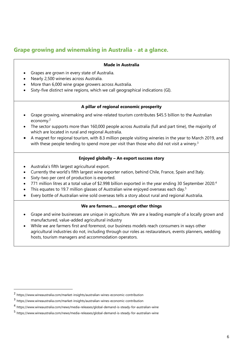### <span id="page-5-0"></span>**Grape growing and winemaking in Australia - at a glance.**

#### **Made in Australia**

- Grapes are grown in every state of Australia.
- Nearly 2,500 wineries across Australia.
- More than 6,000 wine grape growers across Australia.
- Sixty-five distinct wine regions, which we call geographical indications (GI).

#### **A pillar of regional economic prosperity**

- Grape growing, winemaking and wine-related tourism contributes \$45.5 billion to the Australian economy.<sup>2</sup>
- The sector supports more than 160,000 people across Australia (full and part time), the majority of which are located in rural and regional Australia.
- A magnet for regional tourism, with 8.3 million people visiting wineries in the year to March 2019, and with these people tending to spend more per visit than those who did not visit a winery.<sup>3</sup>

#### **Enjoyed globally – An export success story**

- Australia's fifth largest agricultural export.
- Currently the world's fifth largest wine exporter nation, behind Chile, France, Spain and Italy.
- Sixty-two per cent of production is exported.
- 771 million litres at a total value of \$2.998 billion exported in the year ending 30 September 2020.<sup>4</sup>
- This equates to 19.7 million glasses of Australian wine enjoyed overseas each day.<sup>5</sup>
- Every bottle of Australian wine sold overseas tells a story about rural and regional Australia.

#### **We are farmers…. amongst other things**

- Grape and wine businesses are unique in agriculture. We are a leading example of a locally grown and manufactured, value-added agricultural industry
- While we are farmers first and foremost, our business models reach consumers in ways other agricultural industries do not, including through our roles as restaurateurs, events planners, wedding hosts, tourism managers and accommodation operators.

<sup>2</sup> https://www.wineaustralia.com/market-insights/australian-wines-economic-contribution

<sup>3</sup> https://www.wineaustralia.com/market-insights/australian-wines-economic-contribution

<sup>4</sup> https://www.wineaustralia.com/news/media-releases/global-demand-is-steady-for-australian-wine

<sup>5</sup> https://www.wineaustralia.com/news/media-releases/global-demand-is-steady-for-australian-wine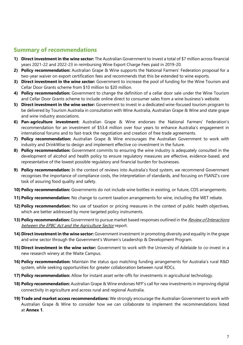## <span id="page-6-0"></span>**Summary of recommendations**

- **1) Direct investment in the wine sector:** The Australian Government to invest a total of \$7 million across financial years 2021-22 and 2022-23 in reimbursing Wine Export Charge Fees paid in 2019-20.
- **2) Policy recommendation:** Australian Grape & Wine supports the National Farmers' Federation proposal for a two-year waiver on export certification fees and recommends that this be extended to wine exports.
- **3) Direct investment in the wine sector:** Government to increase the pool of funding for the Wine Tourism and Cellar Door Grants scheme from \$10 million to \$20 million.
- **4) Policy recommendation:** Government to change the definition of a cellar door sale under the Wine Tourism and Cellar Door Grants scheme to include online direct to consumer sales from a wine business's website.
- **5) Direct investment in the wine sector:** Government to invest in a dedicated wine-focused tourism program to be delivered by Tourism Australia in consultation with Wine Australia, Australian Grape & Wine and state grape and wine industry associations.
- **6) Pan-agriculture investment:** Australian Grape & Wine endorses the National Farmers' Federation's recommendation for an investment of \$53.4 million over four years to enhance Australia's engagement in international forums and to fast-track the negotiation and creation of free trade agreements.
- **7) Policy recommendation:** Australian Grape & Wine encourages the Australian Government to work with industry and DrinkWise to design and implement effective co-investment in the future.
- **8) Policy recommendation:** Government commits to ensuring the wine industry is adequately consulted in the development of alcohol and health policy to ensure regulatory measures are effective, evidence-based, and representative of the lowest possible regulatory and financial burden for businesses.
- **9) Policy recommendation:** In the context of reviews into Australia's food system, we recommend Government recognises the importance of compliance costs, the interpretation of standards, and focusing on FSANZ's core task of assuring food quality and safety.
- **10) Policy recommendation:** Governments do not include wine bottles in existing, or future, CDS arrangements.
- **11) Policy recommendation:** No change to current taxation arrangements for wine, including the WET rebate.
- 12) Policy recommendation: No use of taxation or pricing measures in the context of public health objectives, which are better addressed by more targeted policy instruments.
- **13) Policy recommendation:** Government to pursue market based responses outlined in the Review of Interactions [between the EPBC Act and the Agriculture Sector](https://www.environment.gov.au/epbc/publications/review-interactions-epbc-act-agriculture-final-report) report.
- **14) Direct investment in the wine sector:** Government investment in promoting diversity and equality in the grape and wine sector through the Government's Women's Leadership & Development Program.
- **15) Direct investment in the wine sector:** Government to work with the University of Adelaide to co-invest in a new research winery at the Waite Campus.
- **16) Policy recommendation:** Maintain the status quo matching funding arrangements for Australia's rural R&D system, while seeking opportunities for greater collaboration between rural RDCs.
- **17) Policy recommendation:** Allow for instant asset write-offs for investments in agricultural technology.
- **18) Policy recommendation:** Australian Grape & Wine endorses NFF's call for new investments in improving digital connectivity in agriculture and across rural and regional Australia.
- **19) Trade and market access recommendations:** We strongly encourage the Australian Government to work with Australian Grape & Wine to consider how we can collaborate to implement the recommendations listed at **Annex 1**.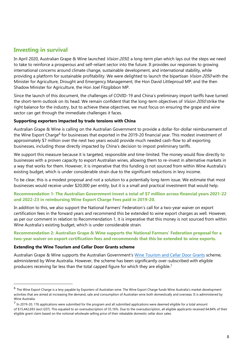### <span id="page-7-0"></span>**Investing in survival**

In April 2020, Australian Grape & Wine launched Vision 2050, a long-term plan which lays out the steps we need to take to reinforce a prosperous and self-reliant sector into the future. It provides our responses to growing international concerns around climate change, sustainable development, and international stability, while providing a platform for sustainable profitability. We were delighted to launch the bipartisan *Vision 2050* with the Minister for Agriculture, Drought and Emergency Management, the Hon David Littleproud MP, and the then Shadow Minister for Agriculture, the Hon Joel Fitzgibbon MP.

Since the launch of this document, the challenges of COVID-19 and China's preliminary import tariffs have turned the short-term outlook on its head. We remain confident that the long-term objectives of Vision 2050 strike the right balance for the industry, but to achieve these objectives, we must focus on ensuring the grape and wine sector can get through the immediate challenges it faces.

#### **Supporting exporters impacted by trade tensions with China**

Australian Grape & Wine is calling on the Australian Government to provide a dollar-for-dollar reimbursement of the Wine Export Charge<sup>6</sup> for businesses that exported in the 2019-20 financial year. This modest investment of approximately \$7 million over the next two years would provide much needed cash-flow to all exporting businesses, including those directly impacted by China's decision to impost preliminary tariffs.

We support this measure because it is targeted, responsible and time-limited. The money would flow directly to businesses with a proven capacity to export Australian wines, allowing them to re-invest in alternative markets in a way that works for them. However, it is imperative that this funding is not sourced from within Wine Australia's existing budget, which is under considerable strain due to the significant reductions in levy income.

To be clear, this is a modest proposal and not a solution to a potentially long-term issue. We estimate that most businesses would receive under \$20,000 per entity, but it is a small and practical investment that would help.

#### **Recommendation 1: The Australian Government invest a total of \$7 million across financial years 2021-22 and 2022-23 in reimbursing Wine Export Charge Fees paid in 2019-20.**

In addition to this, we also support the National Farmers' Federation's call for a two-year waiver on export certification fees in the forward years and recommend this be extended to wine export charges as well. However, as per our comment in relation to Recommendation 1, it is imperative that this money is not sourced from within Wine Australia's existing budget, which is under considerable strain.

#### **Recommendation 2: Australian Grape & Wine supports the National Farmers' Federation proposal for a two-year waiver on export certification fees and recommends that this be extended to wine exports.**

#### **Extending the Wine Tourism and Cellar Door Grants scheme**

Australian Grape & Wine supports the Australian Government's [Wine Tourism and Cellar Door Grants](https://www.wineaustralia.com/wine-tourism-and-cellar-door-grants) scheme, administered by Wine Australia. However, the scheme has been significantly over-subscribed with eligible producers receiving far less than the total capped figure for which they are eligible.<sup>7</sup>

<sup>&</sup>lt;sup>6</sup> The Wine Export Charge is a levy payable by Exporters of Australian wine. The Wine Export Charge funds Wine Australia's market development activities that are aimed at increasing the demand, sale and consumption of Australian wine both domestically and overseas. It is administered by Wine Australia.

 $<sup>7</sup>$  In 2019-20, 176 applications were submitted for the program and all submitted applications were deemed eligible for a total amount</sup> of \$15,442,693 (excl GST). This equated to an oversubscription of 35.16%. Due to the oversubscription, all eligible applicants received 64.84% of their eligible grant claim based on the notional wholesale selling price of their rebatable domestic cellar door sales.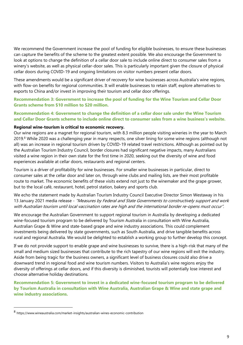We recommend the Government increase the pool of funding for eligible businesses, to ensure these businesses can capture the benefits of the scheme to the greatest extent possible. We also encourage the Government to look at options to change the definition of a cellar door sale to include online direct to consumer sales from a winery's website, as well as physical cellar-door sales. This is particularly important given the closure of physical cellar doors during COVID-19 and ongoing limitations on visitor numbers present cellar doors.

These amendments would be a significant driver of recovery for wine businesses across Australia's wine regions, with flow-on benefits for regional communities. It will enable businesses to retain staff, explore alternatives to exports to China and/or invest in improving their tourism and cellar door offerings.

**Recommendation 3: Government to increase the pool of funding for the Wine Tourism and Cellar Door Grants scheme from \$10 million to \$20 million.** 

#### **Recommendation 4: Government to change the definition of a cellar door sale under the Wine Tourism and Cellar Door Grants scheme to include online direct to consumer sales from a wine business's website.**

#### **Regional wine-tourism is critical to economic recovery.**

Our wine regions are a magnet for regional tourism, with 8.3 million people visiting wineries in the year to March 2019.<sup>8</sup> While 2020 was a challenging year in many respects, one silver lining for some wine regions (although not all) was an increase in regional tourism driven by COVID-19 related travel restrictions. Although as pointed out by the Australian Tourism Industry Council, border closures had significant negative impacts, many Australians visited a wine region in their own state for the first time in 2020, seeking out the diversity of wine and food experiences available at cellar doors, restaurants and regional centers.

Tourism is a driver of profitability for wine businesses. For smaller wine businesses in particular, direct to consumer sales at the cellar door and later on, through wine clubs and mailing lists, are their most profitable route to market. The economic benefits of these visits extend not just to the winemaker and the grape grower, but to the local café, restaurant, hotel, petrol station, bakery and sports club.

We echo the statement made by Australian Tourism Industry Council Executive Director Simon Westaway in his 13 January 2021 media release - "Measures by Federal and State Governments to constructively support and work with Australian tourism until local vaccination rates are high and the international border re-opens must occur".

We encourage the Australian Government to support regional tourism in Australia by developing a dedicated wine-focused tourism program to be delivered by Tourism Australia in consultation with Wine Australia, Australian Grape & Wine and state-based grape and wine industry associations. This could complement investments being delivered by state governments, such as South Australia, and drive tangible benefits across rural and regional Australia. We would be delighted to establish a working group to further develop this concept.

If we do not provide support to enable grape and wine businesses to survive, there is a high-risk that many of the small and medium sized businesses that contribute to the rich tapestry of our wine regions will exit the industry. Aside from being tragic for the business owners, a significant level of business closures could also drive a downward trend in regional food and wine tourism numbers. Visitors to Australia's wine regions enjoy the diversity of offerings at cellar doors, and if this diversity is diminished, tourists will potentially lose interest and choose alternative holiday destinations.

**Recommendation 5: Government to invest in a dedicated wine-focused tourism program to be delivered by Tourism Australia in consultation with Wine Australia, Australian Grape & Wine and state grape and wine industry associations.** 

<sup>8</sup> https://www.wineaustralia.com/market-insights/australian-wines-economic-contribution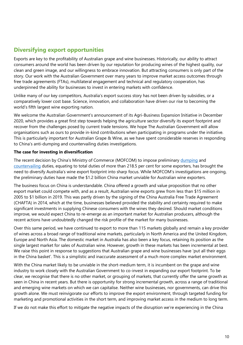# <span id="page-9-0"></span>**Diversifying export opportunities**

Exports are key to the profitability of Australian grape and wine businesses. Historically, our ability to attract consumers around the world has been driven by our reputation for producing wines of the highest quality, our clean and green image, and our willingness to embrace innovation. But attracting consumers is only part of the story. Our work with the Australian Government over many years to improve market access outcomes through free trade agreements (FTAs), multilateral engagement and technical and regulatory cooperation, has underpinned the ability for businesses to invest in entering markets with confidence.

Unlike many of our key competitors, Australia's export success story has not been driven by subsidies, or a comparatively lower cost base. Science, innovation, and collaboration have driven our rise to becoming the world's fifth largest wine exporting nation.

We welcome the Australian Government's announcement of its Agri-Business Expansion Initiative in December 2020, which provides a great first step towards helping the agriculture sector diversify its export footprint and recover from the challenges posed by current trade tensions. We hope The Australian Government will allow organisations such as ours to provide in-kind contributions when participating in programs under the initiative. This is particularly important for Australian Grape & Wine, as we have spent considerable reserves in responding to China's anti-dumping and countervailing duties investigations.

#### **The case for investing in diversification**

The recent decision by China's Ministry of Commerce (MOFCOM) to impose preliminary [dumping](https://agw.org.au/assets/media/Australias-wine-sector-disappointed-by-antidumping-tariff-271120.pdf) and [countervailing](https://agw.org.au/assets/media/MEDIA-RELEASE-CVD-preliminary-determination-December-2020.pdf) duties, equating to total duties of more than 218.5 per cent for some exporters, has brought the need to diversify Australia's wine export footprint into sharp focus. While MOFCOM's investigations are ongoing, the preliminary duties have made the \$1.2 billion China market unviable for Australian wine exporters.

The business focus on China is understandable. China offered a growth and value proposition that no other export market could compete with, and as a result, Australian wine exports grew from less than \$15 million in 2005 to \$1 billion in 2019. This was partly driven by the signing of the China Australia Free Trade Agreement (CHAFTA) in 2014, which at the time, businesses believed provided the stability and certainty required to make significant investments in supplying Chinese consumers with the wines they desired. Should market conditions improve, we would expect China to re-emerge as an important market for Australian producers, although the recent actions have undoubtedly changed the risk profile of the market for many businesses.

Over this same period, we have continued to export to more than 115 markets globally and remain a key provider of wines across a broad range of traditional wine markets, particularly in North America and the United Kingdom, Europe and North Asia. The domestic market in Australia has also been a key focus, retaining its position as the single largest market for sales of Australian wine. However, growth in these markets has been incremental at best. We raise this point in response to suggestions that Australian grape and wine businesses have 'put all their eggs in the China basket'. This is a simplistic and inaccurate assessment of a much more complex market environment.

With the China market likely to be unviable in the short-medium term, it is incumbent on the grape and wine industry to work closely with the Australian Government to co-invest in expanding our export footprint. To be clear, we recognise that there is no other market, or grouping of markets, that currently offer the same growth as seen in China in recent years. But there is opportunity for strong incremental growth, across a range of traditional and emerging wine markets on which we can capitalise. Neither wine businesses, nor governments, can drive this growth alone. We must reinvigorate our efforts to improve the export environment, through targeted funding for marketing and promotional activities in the short term, and improving market access in the medium to long term.

If we do not make this effort to mitigate the negative impacts of the disruption we're experiencing in the China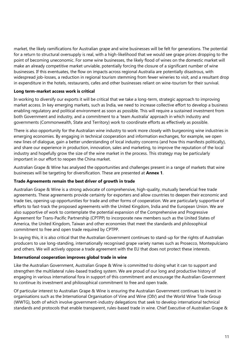market, the likely ramifications for Australian grape and wine businesses will be felt for generations. The potential for a return to structural oversupply is real, with a high-likelihood that we would see grape prices dropping to the point of becoming uneconomic. For some wine businesses, the likely flood of wines on the domestic market will make an already competitive market unviable, potentially forcing the closure of a significant number of wine businesses. If this eventuates, the flow on impacts across regional Australia are potentially disastrous, with widespread job-losses, a reduction in regional tourism stemming from fewer wineries to visit, and a resultant drop in expenditure in the hotels, restaurants, cafes and other businesses reliant on wine-tourism for their survival.

#### **Long term-market access work is critical**

In working to diversify our exports it will be critical that we take a long-term, strategic approach to improving market access. In key emerging markets, such as India, we need to increase collective effort to develop a business enabling regulatory and political environment as soon as possible. This will require a sustained investment from both Government and industry, and a commitment to a 'team Australia' approach in which industry and governments (Commonwealth, State and Territory) work to coordinate efforts as effectively as possible.

There is also opportunity for the Australian wine industry to work more closely with burgeoning wine industries in emerging economies. By engaging in technical cooperation and information exchanges, for example, we open new lines of dialogue, gain a better understanding of local industry concerns (and how this manifests politically), and share our experience in production, innovation, sales and marketing, to improve the reputation of the local industry and hopefully grow the size of the wine market in the process. This strategy may be particularly important in our effort to reopen the China market.

Australian Grape & Wine has analysed the opportunities and challenges present in a range of markets that wine businesses will be targeting for diversification. These are presented at **Annex 1**.

#### **Trade Agreements remain the best driver of growth in trade**

Australian Grape & Wine is a strong advocate of comprehensive, high-quality, mutually beneficial free trade agreements. These agreements provide certainty for exporters and allow countries to deepen their economic and trade ties, opening up opportunities for trade and other forms of cooperation. We are particularly supportive of efforts to fast-track the proposed agreements with the United Kingdom, India and the European Union. We are also supportive of work to contemplate the potential expansion of the Comprehensive and Progressive Agreement for Trans-Pacific Partnership (CPTPP) to incorporate new members such as the United States of America, the United Kingdom, Taiwan and other economies that meet the standards and philosophical commitment to free and open trade required by CPTPP.

In saying this, it is also critical that the Australian Government continues to stand-up for the rights of Australian producers to use long-standing, internationally recognised grape variety names such as Prosecco, Montepulciano and others. We will actively oppose a trade agreement with the EU that does not protect these interests.

#### **International cooperation improves global trade in wine**

Like the Australian Government, Australian Grape & Wine is committed to doing what it can to support and strengthen the multilateral rules-based trading system. We are proud of our long and productive history of engaging in various international fora in support of this commitment and encourage the Australian Government to continue its investment and philosophical commitment to free and open trade.

Of particular interest to Australian Grape & Wine is ensuring the Australian Government continues to invest in organisations such as the International Organisation of Vine and Wine (OIV) and the World Wine Trade Group (WWTG), both of which involve government-industry delegations that seek to develop international technical standards and protocols that enable transparent, rules-based trade in wine. Chief Executive of Australian Grape &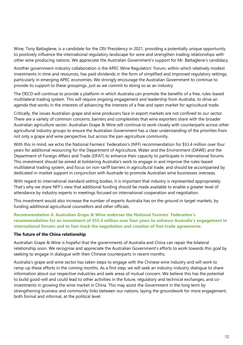Wine, Tony Battaglene, is a candidate for the OIV Presidency in 2021, providing a potentially unique opportunity to positively influence the international regulatory landscape for wine and strengthen trading relationships with other wine producing nations. We appreciate the Australian Government's support for Mr. Battaglene's candidacy.

Another government-industry collaboration is the APEC Wine Regulators' Forum, within which relatively modest investments in time and resources, has paid dividends in the form of simplified and improved regulatory settings, particularly in emerging APEC economies. We strongly encourage the Australian Government to continue to provide its support to these groupings, just as we commit to doing so as an industry.

The OECD will continue to provide a platform in which Australia can promote the benefits of a free, rules-based multilateral trading system. This will require ongoing engagement and leadership from Australia, to drive an agenda that works in the interests of advancing the interests of a free and open market for agricultural trade.

Critically, the issues Australian grape and wine producers face in export markets are not confined to our sector. There are a variety of common concerns, barriers and complexities that wine exporters share with the broader Australian agriculture sector. Australian Grape & Wine will continue to work closely with counterparts across other agricultural industry groups to ensure the Australian Government has a clear understanding of the priorities from not only a grape and wine perspective, but across the pan-agriculture community.

With this in mind, we echo the National Farmers' Federation's (NFF) recommendation for \$53.4 million over four years for additional resourcing for the Department of Agriculture, Water and the Environment (DAWE) and the Department of Foreign Affairs and Trade (DFAT) to enhance their capacity to participate in international forums. This investment should be aimed at bolstering Australia's work to engage in and improve the rules-based multilateral trading system, and focus on non-tariff barriers in agricultural trade, and should be accompanied by dedicated in-market support in conjunction with Austrade to promote Australian wine businesses overseas.

With regard to international standard setting bodies, it is important that industry is represented appropriately. That's why we share NFF's view that additional funding should be made available to enable a greater level of attendance by industry experts in meetings focused on international cooperation and negotiation.

This investment would also increase the number of experts Australia has on the ground in target markets, by funding additional agricultural counsellors and other officials.

#### **Recommendation 6: Australian Grape & Wine endorses the National Farmers' Federation's recommendation for an investment of \$53.4 million over four years to enhance Australia's engagement in international forums and to fast-track the negotiation and creation of free trade agreements.**

#### **The future of the China relationship**

Australian Grape & Wine is hopeful that the governments of Australia and China can repair the bilateral relationship soon. We recognise and appreciate the Australian Government's efforts to work towards this goal by seeking to engage in dialogue with their Chinese counterparts in recent months.

Australia's grape and wine sector has taken steps to engage with the Chinese wine industry and will work to ramp-up these efforts in the coming months. As a first step, we will seek an industry-industry dialogue to share information about our respective industries and seek areas of mutual concern. We believe this has the potential to build good-will and could lead to other activities in the future, regulatory and technical exchanges, and coinvestments in growing the wine market in China. This may assist the Government in the long term by strengthening business and community links between our nations, laying the groundwork for more engagement, both formal and informal, at the political level.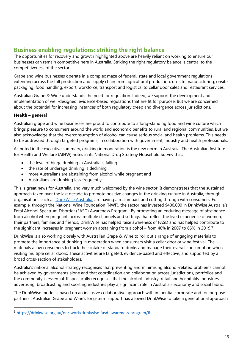## <span id="page-12-0"></span>**Business enabling regulations: striking the right balance**

The opportunities for recovery and growth highlighted above are heavily reliant on working to ensure our businesses can remain competitive here in Australia. Striking the right regulatory balance is central to the competitiveness of the sector.

Grape and wine businesses operate in a complex maze of federal, state and local government regulations extending across the full production and supply chain from agricultural production, on-site manufacturing, onsite packaging, food handling, export, workforce, transport and logistics, to cellar door sales and restaurant services.

Australian Grape & Wine understands the need for regulation. Indeed, we support the development and implementation of well-designed, evidence-based regulations that are fit for purpose. But we are concerned about the potential for increasing instances of both regulatory creep and divergence across jurisdictions.

#### **Health – general**

Australian grape and wine businesses are proud to contribute to a long-standing food and wine culture which brings pleasure to consumers around the world and economic benefits to rural and regional communities. But we also acknowledge that the overconsumption of alcohol can cause serious social and health problems. This needs to be addressed through targeted programs, in collaboration with government, industry and health professionals.

As noted in the executive summary, drinking in moderation is the new norm in Australia. The Australian Institute for Health and Welfare (AIHW) notes in its National Drug Strategy Household Survey that:

- the level of binge drinking in Australia is falling
- the rate of underage drinking is declining
- more Australians are abstaining from alcohol while pregnant and
- Australians are drinking less frequently.

This is great news for Australia, and very much welcomed by the wine sector. It demonstrates that the sustained approach taken over the last decade to promote positive changes in the drinking culture in Australia, through organisations such as **DrinkWise Australia**, are having a real impact and cutting through with consumers. For example, through the National Wine Foundation (NWF), the sector has invested \$400,000 in DrinkWise Australia's Fetal Alcohol Spectrum Disorder (FASD) Awareness Program. By promoting an enduring message of abstinence from alcohol when pregnant, across multiple channels and settings that reflect the lived experience of women, their partners, families and friends, DrinkWise has helped raise awareness of FASD and has helped contribute to the significant increases in pregnant women abstaining from alcohol – from 40% in 2007 to 65% in 2019.<sup>9</sup>

DrinkWise is also working closely with Australian Grape & Wine to roll out a range of engaging materials to promote the importance of drinking in moderation when consumers visit a cellar door or wine festival. The materials allow consumers to track their intake of standard drinks and manage their overall consumption when visiting multiple cellar doors. These activities are targeted, evidence-based and effective, and supported by a broad cross-section of stakeholders.

Australia's national alcohol strategy recognises that preventing and minimising alcohol-related problems cannot be achieved by governments alone and that coordination and collaboration across jurisdictions, portfolios and the community is essential. It specifically recognises that the alcohol industry, retail and hospitality industries, advertising, broadcasting and sporting industries play a significant role in Australia's economy and social fabric.

The DrinkWise model is based on an inclusive collaborative approach with influential corporate and for-purpose partners. Australian Grape and Wine's long-term support has allowed DrinkWise to take a generational approach

<sup>9</sup> [https://drinkwise.org.au/our-work/drinkwise-fasd-awareness-program/#.](https://drinkwise.org.au/our-work/drinkwise-fasd-awareness-program/)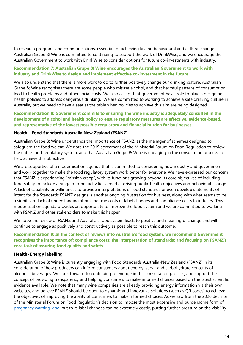to research programs and communications, essential for achieving lasting behavioural and cultural change. Australian Grape & Wine is committed to continuing to support the work of DrinkWise, and we encourage the Australian Government to work with DrinkWise to consider options for future co-investments with industry.

#### **Recommendation 7: Australian Grape & Wine encourages the Australian Government to work with industry and DrinkWise to design and implement effective co-investment in the future.**

We also understand that there is more work to do to further positively change our drinking culture. Australian Grape & Wine recognises there are some people who misuse alcohol, and that harmful patterns of consumption lead to health problems and other social costs. We also accept that government has a role to play in designing health policies to address dangerous drinking. We are committed to working to achieve a safe drinking culture in Australia, but we need to have a seat at the table when policies to achieve this aim are being designed.

#### **Recommendation 8: Government commits to ensuring the wine industry is adequately consulted in the development of alcohol and health policy to ensure regulatory measures are effective, evidence-based, and representative of the lowest possible regulatory and financial burden for businesses.**

#### **Health – Food Standards Australia New Zealand (FSANZ)**

Australian Grape & Wine understands the importance of FSANZ, as the manager of schemes designed to safeguard the food we eat. We note the 2019 agreement of the Ministerial Forum on Food Regulation to review the entire food regulatory system, and that Australian Grape & Wine is engaging in the consultation process to help achieve this objective.

We are supportive of a modernisation agenda that is committed to considering how industry and government and work together to make the food regulatory system work better for everyone. We have expressed our concern that FSANZ is experiencing "mission creep", with its functions growing beyond its core objectives of including food safety to include a range of other activities aimed at driving public health objectives and behavioral change. A lack of capability or willingness to provide interpretations of food standards or even develop statements of intent for the Standards FSANZ designs is another ongoing frustration for business, along with what seems to be a significant lack of understanding about the true costs of label changes and compliance costs to industry. This modernisation agenda provides an opportunity to improve the food system and we are committed to working with FSANZ and other stakeholders to make this happen.

We hope the review of FSANZ and Australia's food system leads to positive and meaningful change and will continue to engage as positively and constructively as possible to reach this outcome.

#### **Recommendation 9: In the context of reviews into Australia's food system, we recommend Government recognises the importance of: compliance costs; the interpretation of standards; and focusing on FSANZ's core task of assuring food quality and safety.**

#### **Health- Energy labelling**

Australian Grape & Wine is currently engaging with Food Standards Australia-New Zealand (FSANZ) in its consideration of how producers can inform consumers about energy, sugar and carbohydrate contents of alcoholic beverages. We look forward to continuing to engage in this consultation process, and support the concept of providing transparency and helping consumers to make informed choices based on the latest scientific evidence available. We note that many wine companies are already providing energy information via their own websites, and believe FSANZ should be open to dynamic and innovative solutions (such as QR codes) to achieve the objectives of improving the ability of consumers to make informed choices. As we saw from the 2020 decision of the Ministerial Forum on Food Regulation's decision to impose the most expensive and burdensome form of [pregnancy warning label](https://agw.org.au/assets/media/Pregnancy-warning-Decision-FINAL-170720.pdf) put to it, label changes can be extremely costly, putting further pressure on the viability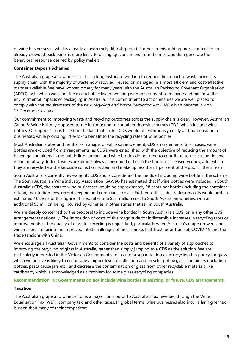of wine businesses in what is already an extremely difficult period. Further to this, adding more content to an already crowded back panel is more likely to disengage consumers from the message than generate the behavioral response desired by policy makers.

#### **Container Deposit Schemes**

The Australian grape and wine sector has a long history of working to reduce the impact of waste across its supply chain, with the majority of waste now recycled, reused or managed in a most efficient and cost-effective manner available. We have worked closely for many years with the Australian Packaging Covenant Organisation (APCO), with which we share the mutual objective of working with government to manage and minimise the environmental impacts of packaging in Australia. This commitment to action ensures we are well placed to comply with the requirements of the new recycling and Waste Reduction Act 2020, which became law on 17 December last year.

Our commitment to improving waste and recycling outcomes across the supply chain is clear. However, Australian Grape & Wine is firmly opposed to the introduction of container deposit schemes (CDS) which include wine bottles. Our opposition is based on the fact that such a CDS would be enormously costly and burdensome to businesses, while providing little-to-no benefit to the recycling rates of wine bottles.

Most Australian states and territories manage, or will soon implement, CDS arrangements. In all cases, wine bottles are excluded from arrangements, as CDS's were established with the objective of reducing the amount of beverage containers in the public litter stream, and wine bottles do not tend to contribute to this stream in any meaningful way. Indeed, wines are almost always consumed either in the home, or licensed venues, after which they are recycled via the kerbside collection system and make up less than 1 per cent of the public litter stream.

South Australia is currently reviewing its CDS and is considering the merits of including wine bottle in the scheme. The South Australian Wine Industry Association (SAWIA) has estimated that if wine bottles were included in South Australia's CDS, the costs to wine businesses would be approximately 28 cents per bottle (including the container refund, registration fees, record keeping and compliance costs). Further to this, label redesign costs would add an estimated 16 cents to this figure. This equates to a \$5.4 million cost to South Australian wineries, with an additional \$5 million being incurred by wineries in other states that sell in South Australia.

We are deeply concerned by the proposal to include wine bottles in South Australia's CDS, or in any other CDS arrangements nationally. The imposition of costs of this magnitude for indiscernible increases in recycling rates or improvements in the quality of glass for recycling is unjustified, particularly when Australia's grape growers and winemakers are facing the unprecedented challenges of fires, smoke, hail, frost, poor fruit set, COVID-19 and the trade tensions with China.

We encourage all Australian Governments to consider the costs and benefits of a variety of approaches to improving the recycling of glass in Australia, rather than simply jumping to a CDS as the solution. We are particularly interested in the Victorian Government's roll-out of a separate domestic recycling bin purely for glass, which we believe is likely to encourage a higher level of collection and recycling of all glass containers (including bottles, pasta sauce jars etc), and decrease the contamination of glass from other recyclable materials like cardboard, which is acknowledged as a problem for some glass-recycling companies.

#### **Recommendation 10: Governments do not include wine bottles in existing, or future, CDS arrangements.**

#### **Taxation**

The Australian grape and wine sector is a major contributor to Australia's tax revenue, through the Wine Equalisation Tax (WET), company tax, and other taxes. In global terms, wine businesses also incur a far higher tax burden than many of their competitors.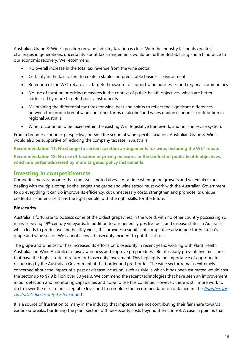Australian Grape & Wine's position on wine industry taxation is clear. With the industry facing its greatest challenges in generations, uncertainty about tax arrangements would be further destabilising and a hindrance to our economic recovery. We recommend:

- No overall increase in the total tax revenue from the wine sector
- Certainty in the tax system to create a stable and predictable business environment
- Retention of the WET rebate as a targeted measure to support wine businesses and regional communities
- No use of taxation or pricing measures in the context of public health objectives, which are better addressed by more targeted policy instruments
- Maintaining the differential tax rates for wine, beer and spirits to reflect the significant differences between the production of wine and other forms of alcohol and wines unique economic contribution in regional Australia.
- Wine to continue to be taxed within the existing WET legislative framework, and not the excise system.

From a broader economic perspective, outside the scope of wine specific taxation, Australian Grape & Wine would also be supportive of reducing the company tax rate in Australia.

**Recommendation 11: No change to current taxation arrangements for wine, including the WET rebate. Recommendation 12: No use of taxation or pricing measures in the context of public health objectives, which are better addressed by more targeted policy instruments.**

### <span id="page-15-0"></span>**Investing in competitiveness**

Competitiveness is broader than the issues noted above. At a time when grape growers and winemakers are dealing with multiple complex challenges, the grape and wine sector must work with the Australian Government to do everything it can do improve its efficiency, cut unnecessary costs, strengthen and promote its unique credentials and ensure it has the right people, with the right skills, for the future.

#### **Biosecurity**

Australia is fortunate to possess some of the oldest grapevines in the world, with no other country possessing so many surviving 19th century vineyards. In addition to our generally positive pest and disease status in Australia, which leads to productive and healthy vines, this provides a significant competitive advantage for Australia's grape and wine sector. We cannot allow a biosecurity incident to put this at risk.

The grape and wine sector has increased its efforts on biosecurity in recent years, working with Plant Health Australia and Wine Australia to raise awareness and improve preparedness. But it is early preventative measures that have the highest rate of return for biosecurity investment. This highlights the importance of appropriate resourcing by the Australian Government at the border and pre-border. The wine sector remains extremely concerned about the impact of a pest or disease incursion, such as Xylella which it has been estimated would cost the sector up to \$7.9 billion over 50 years. We commend the recent technologies that have seen an improvement in our detection and monitoring capabilities and hope to see this continue. However, there is still more work to do to lower the risks to an acceptable level and to complete the recommendations contained in the Priorities for [Australia's Biosecurity System](https://www.agriculture.gov.au/sites/default/files/sitecollectiondocuments/biosecurity/partnerships/nbc/priorities-for-aus-bio-system.pdf) report.

It is a source of frustration to many in the industry that importers are not contributing their fair share towards exotic outbreaks, burdening the plant sectors with biosecurity costs beyond their control. A case in point is that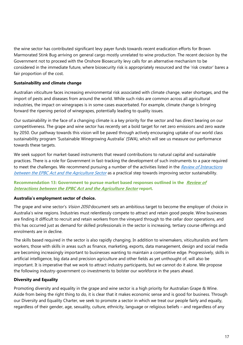the wine sector has contributed significant levy payer funds towards recent eradication efforts for Brown Marmorated Stink Bug arriving on general cargo mostly unrelated to wine production. The recent decision by the Government not to proceed with the Onshore Biosecurity levy calls for an alternative mechanism to be considered in the immediate future, where biosecurity risk is appropriately resourced and the 'risk creator' bares a fair proportion of the cost.

#### **Sustainability and climate change**

Australian viticulture faces increasing environmental risk associated with climate change, water shortages, and the import of pests and diseases from around the world. While such risks are common across all agricultural industries, the impact on winegrapes is in some cases exacerbated. For example, climate change is bringing forward the ripening period of winegrapes, potentially leading to quality issues.

Our sustainability in the face of a changing climate is a key priority for the sector and has direct bearing on our competitiveness. The grape and wine sector has recently set a bold target for net zero emissions and zero waste by 2050. Our pathway towards this vision will be paved through actively encouraging uptake of our world class sustainability program 'Sustainable Winegrowing Australia' (SWA), which will see us measure our performance towards these targets.

We seek support for market-based instruments that reward contributions to natural capital and sustainable practices. There is a role for Government in fast-tracking the development of such instruments to a pace required to meet the challenges. We recommend pursuing a number of the activities listed in the Review of Interactions [between the EPBC Act and the Agriculture Sector](https://www.environment.gov.au/epbc/publications/review-interactions-epbc-act-agriculture-final-report)</u> as a practical step towards improving sector sustainability.

#### **Recommendation 13: Government to pursue market based responses outlined in the [Review of](https://www.environment.gov.au/epbc/publications/review-interactions-epbc-act-agriculture-final-report)  [Interactions between the EPBC Act and the Agriculture Sector](https://www.environment.gov.au/epbc/publications/review-interactions-epbc-act-agriculture-final-report) report.**

#### **Australia's employment sector of choice.**

The grape and wine sector's *Vision 2050* document sets an ambitious target to become the employer of choice in Australia's wine regions. Industries must relentlessly compete to attract and retain good people. Wine businesses are finding it difficult to recruit and retain workers from the vineyard through to the cellar door operations, and this has occurred just as demand for skilled professionals in the sector is increasing, tertiary course offerings and enrolments are in decline.

The skills based required in the sector is also rapidly changing. In addition to winemakers, viticulturalists and farm workers, those with skills in areas such as finance, marketing, exports, data management, design and social media are becoming increasingly important to businesses wanting to maintain a competitive edge. Progressively, skills in artificial intelligence, big data and precision agriculture and other fields as yet unthought of, will also be important. It is imperative that we work to attract industry participants, but we cannot do it alone. We propose the following industry-government co-investments to bolster our workforce in the years ahead.

#### **Diversity and Equality**

Promoting diversity and equality in the grape and wine sector is a high priority for Australian Grape & Wine. Aside from being the right thing to do, it is clear that it makes economic sense and is good for business. Through our Diversity and Equality Charter, we seek to promote a sector in which we treat our people fairly and equally, regardless of their gender, age, sexuality, culture, ethnicity, language or religious beliefs – and regardless of any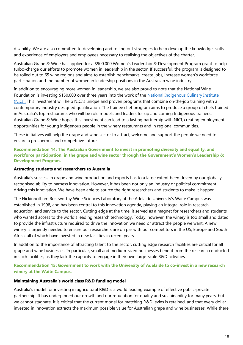disability. We are also committed to developing and rolling out strategies to help develop the knowledge, skills and experience of employers and employees necessary to realising the objectives of the charter.

Australian Grape & Wine has applied for a \$900,000 Women's Leadership & Development Program grant to help turbo-charge our efforts to promote women in leadership in the sector. If successful, the program is designed to be rolled out to 65 wine regions and aims to establish benchmarks, create jobs, increase women's workforce participation and the number of women in leadership positions in the Australian wine industry.

In addition to encouraging more women in leadership, we are also proud to note that the National Wine Foundation is investing \$150,000 over three years into the work of the National Indigenous Culinary Institute [\(NICI\).](http://www.nici.org.au/) This investment will help NICI's unique and proven programs that combine on‐the‐job training with a contemporary industry designed qualification. The trainee chef program aims to produce a group of chefs trained in Australia's top restaurants who will be role models and leaders for up and coming Indigenous trainees. Australian Grape & Wine hopes this investment can lead to a lasting partnerhip with NICI, creating employment opportunities for young indigenous people in the winery restaurants and in regional communities.

These initiatives will help the grape and wine sector to attract, welcome and support the people we need to ensure a prosperous and competitive future.

**Recommendation 14: The Australian Government to invest in promoting diversity and equality, and workforce participation, in the grape and wine sector through the Government's Women's Leadership & Development Program.** 

#### **Attracting students and researchers to Australia**

Australia's success in grape and wine production and exports has to a large extent been driven by our globally recognised ability to harness innovation. However, it has been not only an industry or political commitment driving this innovation. We have been able to source the right researchers and students to make it happen.

The Hickinbotham Roseworthy Wine Sciences Laboratory at the Adelaide University's Waite Campus was established in 1998, and has been central to this innovation agenda, playing an integral role in research, education, and service to the sector. Cutting edge at the time, it served as a magnet for researchers and students who wanted access to the world's leading research technology. Today, however, the winery is too small and dated to provide the infrastructure required to drive the innovation we need or attract the people we want. A new winery is urgently needed to ensure our researchers are on par with our competitors in the US, Europe and South Africa, all of which have invested in new facilities in recent years.

In addition to the importance of attracting talent to the sector, cutting edge research facilities are critical for all grape and wine businesses. In particular, small and medium-sized businesses benefit from the research conducted in such facilities, as they lack the capacity to engage in their own large-scale R&D activities.

#### **Recommendation 15: Government to work with the University of Adelaide to co-invest in a new research winery at the Waite Campus.**

#### **Maintaining Australia's world class R&D funding model**

Australia's model for investing in agricultural R&D is a world leading example of effective public-private partnership. It has underpinned our growth and our reputation for quality and sustainability for many years, but we cannot stagnate. It is critical that the current model for matching R&D levies is retained, and that every dollar invested in innovation extracts the maximum possible value for Australian grape and wine businesses. While there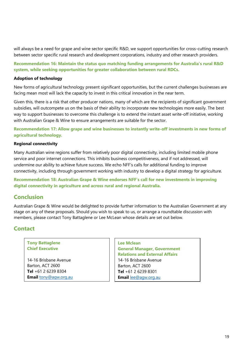will always be a need for grape and wine sector specific R&D, we support opportunities for cross-cutting research between sector specific rural research and development corporations, industry and other research providers.

**Recommendation 16: Maintain the status quo matching funding arrangements for Australia's rural R&D system, while seeking opportunities for greater collaboration between rural RDCs.** 

#### **Adoption of technology**

New forms of agricultural technology present significant opportunities, but the current challenges businesses are facing mean most will lack the capacity to invest in this critical innovation in the near term.

Given this, there is a risk that other producer nations, many of which are the recipients of significant government subsidies, will outcompete us on the basis of their ability to incorporate new technologies more easily. The best way to support businesses to overcome this challenge is to extend the instant asset write-off initiative, working with Australian Grape & Wine to ensure arrangements are suitable for the sector.

**Recommendation 17: Allow grape and wine businesses to instantly write-off investments in new forms of agricultural technology.** 

#### **Regional connectivity**

Many Australian wine regions suffer from relatively poor digital connectivity, including limited mobile phone service and poor internet connections. This inhibits business competitiveness, and if not addressed, will undermine our ability to achieve future success. We echo NFF's calls for additional funding to improve connectivity, including through government working with industry to develop a digital strategy for agriculture.

**Recommendation 18: Australian Grape & Wine endorses NFF's call for new investments in improving digital connectivity in agriculture and across rural and regional Australia.** 

### <span id="page-18-0"></span>**Conclusion**

Australian Grape & Wine would be delighted to provide further information to the Australian Government at any stage on any of these proposals. Should you wish to speak to us, or arrange a roundtable discussion with members, please contact Tony Battaglene or Lee McLean whose details are set out below.

### <span id="page-18-1"></span>**Contact**

#### **Tony Battaglene Chief Executive**

14-16 Brisbane Avenue Barton, ACT 2600 **Tel** +61 2 6239 8304 **Email** [tony@agw.org.au](mailto:tony@agw.org.au)

**Lee Mclean General Manager, Government Relations and External Affairs** 14-16 Brisbane Avenue

Barton, ACT 2600 **Tel** +61 2 6239 8301 **Email** [lee@agw.org.au](mailto:lee@agw.org.au)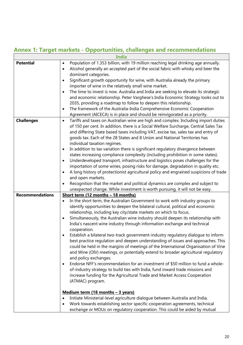# <span id="page-19-0"></span>**Annex 1: Target markets - Opportunities, challenges and recommendations**

|                        | India                                                                                                                                                                                            |
|------------------------|--------------------------------------------------------------------------------------------------------------------------------------------------------------------------------------------------|
| <b>Potential</b>       | Population of 1.353 billion, with 19 million reaching legal drinking age annually.<br>$\bullet$<br>Alcohol generally an accepted part of the social fabric with whisky and beer the<br>$\bullet$ |
|                        | dominant categories.                                                                                                                                                                             |
|                        | Significant growth opportunity for wine, with Australia already the primary<br>$\bullet$                                                                                                         |
|                        | importer of wine in the relatively small wine market.                                                                                                                                            |
|                        | The time to invest is now. Australia and India are seeking to elevate its strategic<br>$\bullet$                                                                                                 |
|                        | and economic relationship. Peter Varghese's India Economic Strategy looks out to                                                                                                                 |
|                        | 2035, providing a roadmap to follow to deepen this relationship.                                                                                                                                 |
|                        | The framework of the Australia-India Comprehensive Economic Cooperation<br>٠                                                                                                                     |
|                        | Agreement (AICECA) is in place and should be reinvigorated as a priority.                                                                                                                        |
| <b>Challenges</b>      | Tariffs and taxes on Australian wine are high and complex. Including import duties<br>$\bullet$                                                                                                  |
|                        | of 150 per cent. In addition, there is a Social Welfare Surcharge, Central Sales Tax                                                                                                             |
|                        | and differing State based taxes including VAT, excise tax, sales tax and entry of                                                                                                                |
|                        | goods tax. Each of the 28 States and 8 Union and National Territories has                                                                                                                        |
|                        | individual taxation regimes.                                                                                                                                                                     |
|                        | In addition to tax variation there is significant regulatory divergence between<br>$\bullet$                                                                                                     |
|                        | states increasing compliance complexity (including prohibition in some states).                                                                                                                  |
|                        | Underdeveloped transport, infrastructure and logistics poses challenges for the<br>$\bullet$                                                                                                     |
|                        | importation of some wines, posing risks for damage, degradation in quality etc.                                                                                                                  |
|                        | A long history of protectionist agricultural policy and engrained suspicions of trade<br>$\bullet$                                                                                               |
|                        | and open markets.                                                                                                                                                                                |
|                        | Recognition that the market and political dynamics are complex and subject to<br>$\bullet$                                                                                                       |
|                        | unexpected change. While investment is worth pursuing, it will not be easy.                                                                                                                      |
| <b>Recommendations</b> | Short term (12 months - 18 months)                                                                                                                                                               |
|                        | In the short term, the Australian Government to work with industry groups to<br>$\bullet$                                                                                                        |
|                        | identify opportunities to deepen the bilateral cultural, political and economic                                                                                                                  |
|                        | relationship, including key city/state markets on which to focus.                                                                                                                                |
|                        | Simultaneously, the Australian wine industry should deepen its relationship with<br>$\bullet$                                                                                                    |
|                        | India's nascent wine industry through information exchange and technical                                                                                                                         |
|                        | cooperation.                                                                                                                                                                                     |
|                        | Establish a bilateral two-track government-industry regulatory dialogue to inform<br>$\bullet$                                                                                                   |
|                        | best practice regulation and deepen understanding of issues and approaches. This                                                                                                                 |
|                        | could be held in the margins of meetings of the International Organisation of Vine<br>and Wine (OIV) meetings, or potentially extend to broader agricultural regulatory                          |
|                        | and policy exchanges.                                                                                                                                                                            |
|                        | Endorse NFF's recommendation for an investment of \$50 million to fund a whole-<br>$\bullet$                                                                                                     |
|                        | of-industry strategy to build ties with India, fund inward trade missions and                                                                                                                    |
|                        | increase funding for the Agricultural Trade and Market Access Cooperation                                                                                                                        |
|                        | (ATMAC) program.                                                                                                                                                                                 |
|                        |                                                                                                                                                                                                  |
|                        | <u>Medium term (18 months - 3 years)</u>                                                                                                                                                         |
|                        | Initiate Ministerial-level agriculture dialogue between Australia and India.<br>$\bullet$                                                                                                        |
|                        | Work towards establishing sector specific cooperation agreements, technical<br>$\bullet$                                                                                                         |
|                        | exchange or MOUs on regulatory cooperation. This could be aided by mutual                                                                                                                        |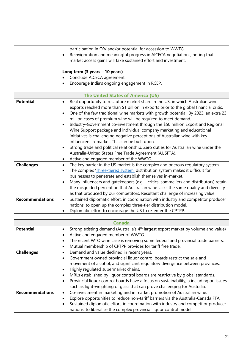| participation in OIV and/or potential for accession to WWTG.<br>Reinvigoration and meaningful progress in AICECA negotiations, noting that<br>market access gains will take sustained effort and investment. |
|--------------------------------------------------------------------------------------------------------------------------------------------------------------------------------------------------------------|
| <u>Long term (3 years – 10 years)</u><br>Conclude AICECA agreement.<br>Encourage India's ongoing engagement in RCEP.                                                                                         |

| <b>The United States of America (US)</b> |                                                                                                                                                                                                                                                                                                                                                                                                                                                                                                                                                                                                                                                                                                                                                                                                                                                                |
|------------------------------------------|----------------------------------------------------------------------------------------------------------------------------------------------------------------------------------------------------------------------------------------------------------------------------------------------------------------------------------------------------------------------------------------------------------------------------------------------------------------------------------------------------------------------------------------------------------------------------------------------------------------------------------------------------------------------------------------------------------------------------------------------------------------------------------------------------------------------------------------------------------------|
| <b>Potential</b>                         | Real opportunity to recapture market share in the US, in which Australian wine<br>$\bullet$<br>exports reached more than \$1 billion in exports prior to the global financial crisis.<br>One of the few traditional wine markets with growth potential. By 2023, an extra 23<br>$\bullet$<br>million cases of premium wine will be required to meet demand.<br>Industry-Government co-investment through the \$50 million Export and Regional<br>Wine Support package and individual company marketing and educational<br>initiatives is challenging negative perceptions of Australian wine with key<br>influencers in-market. This can be built upon.<br>Strong trade and political relationship. Zero duties for Australian wine under the<br>Australia-United States Free Trade Agreement (AUSFTA).<br>Active and engaged member of the WWTG.<br>$\bullet$ |
| <b>Challenges</b>                        | The key barrier in the US market is the complex and onerous regulatory system.<br>$\bullet$<br>The complex 'Three-tiered system' distribution system makes it difficult for<br>$\bullet$<br>businesses to penetrate and establish themselves in-market.<br>Many influencers and gatekeepers (e.g. - critics, sommeliers and distributors) retain<br>٠<br>the misquided perception that Australian wine lacks the same quality and diversity<br>as that produced by our competitors. Resultant challenge of increasing value.                                                                                                                                                                                                                                                                                                                                   |
| <b>Recommendations</b>                   | Sustained diplomatic effort, in coordination with industry and competitor producer<br>٠<br>nations, to open up the complex three-tier distribution model.<br>Diplomatic effort to encourage the US to re-enter the CPTPP.                                                                                                                                                                                                                                                                                                                                                                                                                                                                                                                                                                                                                                      |

|                        | <b>Canada</b>                                                                                               |
|------------------------|-------------------------------------------------------------------------------------------------------------|
| <b>Potential</b>       | Strong existing demand (Australia's 4 <sup>th</sup> largest export market by volume and value)<br>$\bullet$ |
|                        | Active and engaged member of WWTG.<br>٠                                                                     |
|                        | The recent WTO wine case is removing some federal and provincial trade barriers.<br>٠                       |
|                        | Mutual membership of CPTPP provides for tariff free trade.<br>٠                                             |
| <b>Challenges</b>      | Demand and value declined in recent years.<br>٠                                                             |
|                        | Government owned provincial liquor control boards restrict the sale and<br>٠                                |
|                        | movement of alcohol, and significant regulatory divergence between provinces.                               |
|                        | Highly regulated supermarket chains.<br>٠                                                                   |
|                        | MRLs established by liquor control boards are restrictive by global standards.<br>٠                         |
|                        | Provincial liquor control boards have a focus on sustainability, a including on issues<br>٠                 |
|                        | such as light-weighting of glass that can prove challenging for Australia.                                  |
| <b>Recommendations</b> | Co-investment in marketing and in market promotion of Australian wine.<br>٠                                 |
|                        | Explore opportunities to reduce non-tariff barriers via the Australia-Canada FTA<br>٠                       |
|                        | Sustained diplomatic effort, in coordination with industry and competitor producer<br>٠                     |
|                        | nations, to liberalise the complex provincial liquor control model.                                         |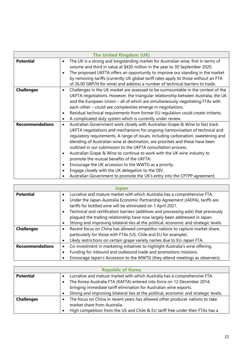|                        | <b>The United Kingdom (UK)</b>                                                                                                                                                                                                                                                                                                                                                                                                                                                                                                                                                                                                                                                                                                                   |
|------------------------|--------------------------------------------------------------------------------------------------------------------------------------------------------------------------------------------------------------------------------------------------------------------------------------------------------------------------------------------------------------------------------------------------------------------------------------------------------------------------------------------------------------------------------------------------------------------------------------------------------------------------------------------------------------------------------------------------------------------------------------------------|
| <b>Potential</b>       | The UK is a strong and longstanding market for Australian wine, first in terms of<br>$\bullet$<br>volume and third in value at \$430 million in the year to 30 September 2020.<br>The proposed UKFTA offers an opportunity to improve our standing in the market<br>by removing tariffs (currently UK global tariff rates apply to those without an FTA<br>of 26.00 GBP/hl for wine) and address a number of technical barriers to trade.                                                                                                                                                                                                                                                                                                        |
| <b>Challenges</b>      | Challenges in the UK market are assessed to be surmountable in the context of the<br>$\bullet$<br>UKFTA negotiations. However, the triangular relationship between Australia, the UK<br>and the European Union - all of which are simultaneously negotiating FTAs with<br>each-other - could see complexities emerge in negotiations.<br>Residual technical requirements from former EU regulation could create irritants.<br>A complicated duty system which is currently under review.<br>٠                                                                                                                                                                                                                                                    |
| <b>Recommendations</b> | Australian Government work closely with Australian Grape & Wine to fast track<br>$\bullet$<br>UKFTA negotiations and mechanisms for ongoing harmonisation of technical and<br>regulatory requirements. A range of issues, including carbonation, sweetening and<br>blending of Australian wine at destination, are priorities and these have been<br>outlined in our submission to the UKFTA consultation process.<br>Australian Grape & Wine to continue to work with the UK wine industry to<br>promote the mutual benefits of the UKFTA.<br>Encourage the UK accession to the WWTG as a priority.<br>٠<br>Engage closely with the UK delegation to the OIV.<br>Australian Government to promote the UK's entry into the CPTPP agreement.<br>٠ |

|                        | Japan                                                                                                                                         |
|------------------------|-----------------------------------------------------------------------------------------------------------------------------------------------|
| <b>Potential</b>       | Lucrative and mature market with which Australia has a comprehensive FTA.<br>$\bullet$                                                        |
|                        | Under the Japan-Australia Economic Partnership Agreement (JAEPA), tariffs are<br>tariffs for bottled wine will be eliminated on 1 April 2021. |
|                        |                                                                                                                                               |
|                        | Technical and certification barriers (additives and processing aids) that previously<br>٠                                                     |
|                        | plaqued the trading relationship have now largely been addressed in Japan.                                                                    |
|                        | Strong and improving bilateral ties at the political, economic and strategic levels.                                                          |
| <b>Challenges</b>      | Recent focus on China has allowed competitor nations to capture market share,<br>$\bullet$                                                    |
|                        | particularly for those with FTAs (US, Chile and EU for example).                                                                              |
|                        | Likely restrictions on certain grape variety names due to EU-Japan FTA.<br>٠                                                                  |
| <b>Recommendations</b> | Co-investment in marketing initiatives to highlight Australia's wine offering.<br>$\bullet$                                                   |
|                        | Funding for inbound and outbound trade and promotions missions.                                                                               |
|                        | Encourage Japan's Accession to the WWTG (they attend meetings as observers).<br>٠                                                             |

| <b>Republic of Korea</b> |                                                                                            |
|--------------------------|--------------------------------------------------------------------------------------------|
| <b>Potential</b>         | Lucrative and mature market with which Australia has a comprehensive FTA.                  |
|                          | The Korea-Australia FTA (KAFTA) entered into force on 12 December 2014,                    |
|                          | bringing immediate tariff elimination for Australian wine exports.                         |
|                          | Strong and improving bilateral ties at the political, economic and strategic levels.       |
| <b>Challenges</b>        | The focus on China in recent years has allowed other producer nations to take<br>$\bullet$ |
|                          | market share from Australia.                                                               |
|                          | High competition from the US and Chile & EU tariff free under their FTAs has a             |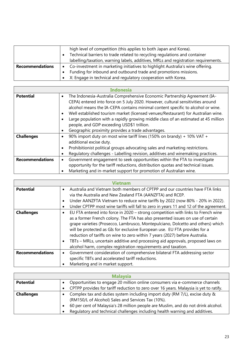|                        | high level of competition (this applies to both Japan and Korea).                           |
|------------------------|---------------------------------------------------------------------------------------------|
|                        | Technical barriers to trade related to recycling regulations and container                  |
|                        | labelling/taxation, warning labels, additives, MRLs and registration requirements.          |
| <b>Recommendations</b> | Co-investment in marketing initiatives to highlight Australia's wine offering.<br>$\bullet$ |
|                        | Funding for inbound and outbound trade and promotions missions.                             |
|                        | X: Engage in technical and regulatory cooperation with Korea.<br>$\bullet$                  |

|                        | Indonesia                                                                                                                                                                                                                                                                                                                                                                                                                                                                                                                                  |
|------------------------|--------------------------------------------------------------------------------------------------------------------------------------------------------------------------------------------------------------------------------------------------------------------------------------------------------------------------------------------------------------------------------------------------------------------------------------------------------------------------------------------------------------------------------------------|
| <b>Potential</b>       | The Indonesia-Australia Comprehensive Economic Partnership Agreement (IA-<br>$\bullet$<br>CEPA) entered into force on 5 July 2020. However, cultural sensitivities around<br>alcohol means the IA-CEPA contains minimal content specific to alcohol or wine.<br>Well established tourism market (licensed venues/Restaurant) for Australian wine.<br>Large population with a rapidly growing middle class of an estimated at 45 million<br>people, and GDP exceeding USD\$1 trillion.<br>Geographic proximity provides a trade advantages. |
| <b>Challenges</b>      | 90% import duty on most wine tariff lines (150% on brandy) + 10% VAT +<br>additional excise duty.<br>Prohibitionist political groups advocating sales and marketing restrictions.<br>Regulatory challenges - Labelling revision, additives and winemaking practices.                                                                                                                                                                                                                                                                       |
| <b>Recommendations</b> | Government engagement to seek opportunities within the FTA to investigate<br>$\bullet$<br>opportunity for the tariff reductions, distribution quotas and technical issues.<br>Marketing and in-market support for promotion of Australian wine.                                                                                                                                                                                                                                                                                            |

|                        | Vietnam                                                                                       |
|------------------------|-----------------------------------------------------------------------------------------------|
| <b>Potential</b>       | Australia and Vietnam both members of CPTPP and our countries have FTA links<br>$\bullet$     |
|                        | via the Australia and New Zealand FTA (AANZFTA) and RCEP.                                     |
|                        | Under AANZFTA Vietnam to reduce wine tariffs by 2022 (now 80% - 20% in 2022).<br>$\bullet$    |
|                        | Under CPTPP most wine tariffs will fall to zero in years 11 and 12 of the agreement.<br>٠     |
| <b>Challenges</b>      | EU FTA entered into force in 2020 - strong competition with links to French wine<br>$\bullet$ |
|                        | as a former French colony. The FTA has also presented issues on use of certain                |
|                        | grape varieties (Prosecco, Lambrusco, Montepulciano, Dolcetto and others) which               |
|                        | will be protected as GIs for exclusive European use. EU FTA provides for a                    |
|                        | reduction of tariffs on wine to zero within 7 years (2027) before Australia.                  |
|                        | TBTs - MRLs, uncertain additive and processing aid approvals, proposed laws on                |
|                        | alcohol harm, complex registration requirements and taxation.                                 |
| <b>Recommendations</b> | Government consideration of comprehensive bilateral FTA addressing sector<br>٠                |
|                        | specific TBTs and accelerated tariff reductions.                                              |
|                        | Marketing and in market support.<br>٠                                                         |

| <b>Malaysia</b>   |                                                                                       |
|-------------------|---------------------------------------------------------------------------------------|
| <b>Potential</b>  | Opportunities to engage 20 million online consumers via e-commerce channels           |
|                   | CPTPP provides for tariff reduction to zero over 16 years. Malaysia is yet to ratify. |
| <b>Challenges</b> | Complex tax and duties system including import duty (RM 7/L), excise duty &           |
|                   | (RM150/L of Alcohol) Sales and Services Tax (10%).                                    |
|                   | 60 per cent of Malaysia's 28 million people are Muslim, and do not drink alcohol.     |
|                   | Regulatory and technical challenges including health warning and additives.           |